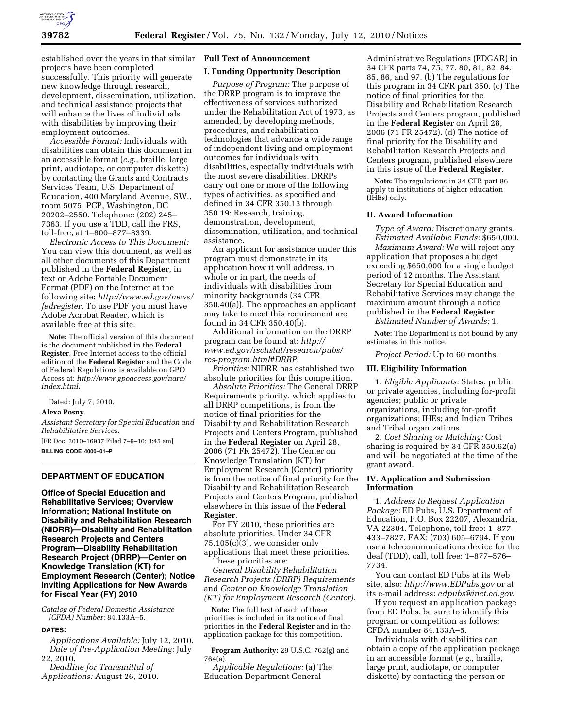

established over the years in that similar projects have been completed successfully. This priority will generate new knowledge through research, development, dissemination, utilization, and technical assistance projects that will enhance the lives of individuals with disabilities by improving their employment outcomes.

*Accessible Format:* Individuals with disabilities can obtain this document in an accessible format (*e.g.,* braille, large print, audiotape, or computer diskette) by contacting the Grants and Contracts Services Team, U.S. Department of Education, 400 Maryland Avenue, SW., room 5075, PCP, Washington, DC 20202–2550. Telephone: (202) 245– 7363. If you use a TDD, call the FRS, toll-free, at 1–800–877–8339.

*Electronic Access to This Document:*  You can view this document, as well as all other documents of this Department published in the **Federal Register**, in text or Adobe Portable Document Format (PDF) on the Internet at the following site: *http://www.ed.gov/news/ fedregister.* To use PDF you must have Adobe Acrobat Reader, which is available free at this site.

**Note:** The official version of this document is the document published in the **Federal Register**. Free Internet access to the official edition of the **Federal Register** and the Code of Federal Regulations is available on GPO Access at: *http://www.gpoaccess.gov/nara/ index.html.* 

Dated: July 7, 2010.

# **Alexa Posny,**

*Assistant Secretary for Special Education and Rehabilitative Services.*  [FR Doc. 2010–16937 Filed 7–9–10; 8:45 am] **BILLING CODE 4000–01–P** 

# **DEPARTMENT OF EDUCATION**

**Office of Special Education and Rehabilitative Services; Overview Information; National Institute on Disability and Rehabilitation Research (NIDRR)—Disability and Rehabilitation Research Projects and Centers Program—Disability Rehabilitation Research Project (DRRP)—Center on Knowledge Translation (KT) for Employment Research (Center); Notice Inviting Applications for New Awards for Fiscal Year (FY) 2010** 

*Catalog of Federal Domestic Assistance (CFDA) Number:* 84.133A–5.

### **DATES:**

*Applications Available:* July 12, 2010. *Date of Pre-Application Meeting:* July 22, 2010.

*Deadline for Transmittal of Applications:* August 26, 2010.

# **Full Text of Announcement**

#### **I. Funding Opportunity Description**

*Purpose of Program:* The purpose of the DRRP program is to improve the effectiveness of services authorized under the Rehabilitation Act of 1973, as amended, by developing methods, procedures, and rehabilitation technologies that advance a wide range of independent living and employment outcomes for individuals with disabilities, especially individuals with the most severe disabilities. DRRPs carry out one or more of the following types of activities, as specified and defined in 34 CFR 350.13 through 350.19: Research, training, demonstration, development, dissemination, utilization, and technical assistance.

An applicant for assistance under this program must demonstrate in its application how it will address, in whole or in part, the needs of individuals with disabilities from minority backgrounds (34 CFR 350.40(a)). The approaches an applicant may take to meet this requirement are found in 34 CFR 350.40(b).

Additional information on the DRRP program can be found at: *http:// www.ed.gov/rschstat/research/pubs/ res-program.html#DRRP*.

*Priorities:* NIDRR has established two absolute priorities for this competition.

*Absolute Priorities:* The General DRRP Requirements priority, which applies to all DRRP competitions, is from the notice of final priorities for the Disability and Rehabilitation Research Projects and Centers Program, published in the **Federal Register** on April 28, 2006 (71 FR 25472). The Center on Knowledge Translation (KT) for Employment Research (Center) priority is from the notice of final priority for the Disability and Rehabilitation Research Projects and Centers Program, published elsewhere in this issue of the **Federal Register**.

For FY 2010, these priorities are absolute priorities. Under 34 CFR 75.105(c)(3), we consider only applications that meet these priorities.

These priorities are: *General Disability Rehabilitation Research Projects (DRRP) Requirements*  and *Center on Knowledge Translation (KT) for Employment Research (Center)*.

**Note:** The full text of each of these priorities is included in its notice of final priorities in the **Federal Register** and in the application package for this competition.

**Program Authority:** 29 U.S.C. 762(g) and 764(a).

*Applicable Regulations:* (a) The Education Department General

Administrative Regulations (EDGAR) in 34 CFR parts 74, 75, 77, 80, 81, 82, 84, 85, 86, and 97. (b) The regulations for this program in 34 CFR part 350. (c) The notice of final priorities for the Disability and Rehabilitation Research Projects and Centers program, published in the **Federal Register** on April 28, 2006 (71 FR 25472). (d) The notice of final priority for the Disability and Rehabilitation Research Projects and Centers program, published elsewhere in this issue of the **Federal Register**.

**Note:** The regulations in 34 CFR part 86 apply to institutions of higher education (IHEs) only.

#### **II. Award Information**

*Type of Award:* Discretionary grants. *Estimated Available Funds:* \$650,000.

*Maximum Award:* We will reject any application that proposes a budget exceeding \$650,000 for a single budget period of 12 months. The Assistant Secretary for Special Education and Rehabilitative Services may change the maximum amount through a notice published in the **Federal Register**.

*Estimated Number of Awards:* 1.

**Note:** The Department is not bound by any estimates in this notice.

*Project Period:* Up to 60 months.

### **III. Eligibility Information**

1. *Eligible Applicants:* States; public or private agencies, including for-profit agencies; public or private organizations, including for-profit organizations; IHEs; and Indian Tribes and Tribal organizations.

2. *Cost Sharing or Matching:* Cost sharing is required by 34 CFR 350.62(a) and will be negotiated at the time of the grant award.

# **IV. Application and Submission Information**

1. *Address to Request Application Package:* ED Pubs, U.S. Department of Education, P.O. Box 22207, Alexandria, VA 22304. Telephone, toll free: 1–877– 433–7827. FAX: (703) 605–6794. If you use a telecommunications device for the deaf (TDD), call, toll free: 1–877–576– 7734.

You can contact ED Pubs at its Web site, also: *http://www.EDPubs.gov* or at its e-mail address: *edpubs@inet.ed.gov*.

If you request an application package from ED Pubs, be sure to identify this program or competition as follows: CFDA number 84.133A–5.

Individuals with disabilities can obtain a copy of the application package in an accessible format (*e.g.,* braille, large print, audiotape, or computer diskette) by contacting the person or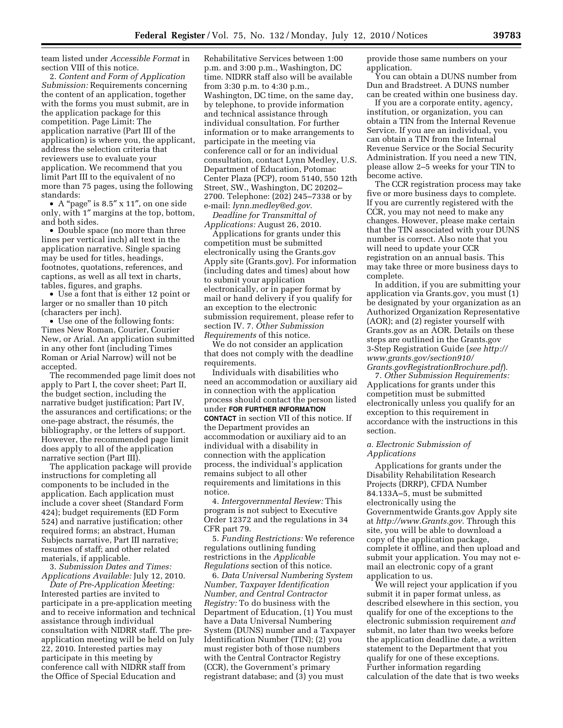team listed under *Accessible Format* in section VIII of this notice.

2. *Content and Form of Application Submission:* Requirements concerning the content of an application, together with the forms you must submit, are in the application package for this competition. Page Limit: The application narrative (Part III of the application) is where you, the applicant, address the selection criteria that reviewers use to evaluate your application. We recommend that you limit Part III to the equivalent of no more than 75 pages, using the following standards:

• A "page" is 8.5" x 11", on one side only, with 1″ margins at the top, bottom, and both sides.

• Double space (no more than three lines per vertical inch) all text in the application narrative. Single spacing may be used for titles, headings, footnotes, quotations, references, and captions, as well as all text in charts, tables, figures, and graphs.

• Use a font that is either 12 point or larger or no smaller than 10 pitch (characters per inch).

• Use one of the following fonts: Times New Roman, Courier, Courier New, or Arial. An application submitted in any other font (including Times Roman or Arial Narrow) will not be accepted.

The recommended page limit does not apply to Part I, the cover sheet; Part II, the budget section, including the narrative budget justification; Part IV, the assurances and certifications; or the one-page abstract, the résumés, the bibliography, or the letters of support. However, the recommended page limit does apply to all of the application narrative section (Part III).

The application package will provide instructions for completing all components to be included in the application. Each application must include a cover sheet (Standard Form 424); budget requirements (ED Form 524) and narrative justification; other required forms; an abstract, Human Subjects narrative, Part III narrative; resumes of staff; and other related materials, if applicable.

3. *Submission Dates and Times: Applications Available:* July 12, 2010.

*Date of Pre-Application Meeting:*  Interested parties are invited to participate in a pre-application meeting and to receive information and technical assistance through individual consultation with NIDRR staff. The preapplication meeting will be held on July 22, 2010. Interested parties may participate in this meeting by conference call with NIDRR staff from the Office of Special Education and

Rehabilitative Services between 1:00 p.m. and 3:00 p.m., Washington, DC time. NIDRR staff also will be available from 3:30 p.m. to 4:30 p.m., Washington, DC time, on the same day, by telephone, to provide information and technical assistance through individual consultation. For further information or to make arrangements to participate in the meeting via conference call or for an individual consultation, contact Lynn Medley, U.S. Department of Education, Potomac Center Plaza (PCP), room 5140, 550 12th Street, SW., Washington, DC 20202– 2700. Telephone: (202) 245–7338 or by e-mail: *lynn.medley@ed.gov*.

*Deadline for Transmittal of Applications:* August 26, 2010.

Applications for grants under this competition must be submitted electronically using the Grants.gov Apply site (Grants.gov). For information (including dates and times) about how to submit your application electronically, or in paper format by mail or hand delivery if you qualify for an exception to the electronic submission requirement, please refer to section IV. 7. *Other Submission Requirements* of this notice.

We do not consider an application that does not comply with the deadline requirements.

Individuals with disabilities who need an accommodation or auxiliary aid in connection with the application process should contact the person listed under **FOR FURTHER INFORMATION CONTACT** in section VII of this notice. If the Department provides an accommodation or auxiliary aid to an individual with a disability in connection with the application process, the individual's application remains subject to all other requirements and limitations in this notice.

4. *Intergovernmental Review:* This program is not subject to Executive Order 12372 and the regulations in 34 CFR part 79.

5. *Funding Restrictions:* We reference regulations outlining funding restrictions in the *Applicable Regulations* section of this notice.

6. *Data Universal Numbering System Number, Taxpayer Identification Number, and Central Contractor Registry:* To do business with the Department of Education, (1) You must have a Data Universal Numbering System (DUNS) number and a Taxpayer Identification Number (TIN); (2) you must register both of those numbers with the Central Contractor Registry (CCR), the Government's primary registrant database; and (3) you must

provide those same numbers on your application.

You can obtain a DUNS number from Dun and Bradstreet. A DUNS number can be created within one business day.

If you are a corporate entity, agency, institution, or organization, you can obtain a TIN from the Internal Revenue Service. If you are an individual, you can obtain a TIN from the Internal Revenue Service or the Social Security Administration. If you need a new TIN, please allow 2–5 weeks for your TIN to become active.

The CCR registration process may take five or more business days to complete. If you are currently registered with the CCR, you may not need to make any changes. However, please make certain that the TIN associated with your DUNS number is correct. Also note that you will need to update your CCR registration on an annual basis. This may take three or more business days to complete.

In addition, if you are submitting your application via Grants.gov, you must (1) be designated by your organization as an Authorized Organization Representative (AOR); and (2) register yourself with Grants.gov as an AOR. Details on these steps are outlined in the Grants.gov 3-Step Registration Guide (*see http:// www.grants.gov/section910/ Grants.govRegistrationBrochure.pdf*).

7. *Other Submission Requirements:*  Applications for grants under this competition must be submitted electronically unless you qualify for an exception to this requirement in accordance with the instructions in this section.

# *a. Electronic Submission of Applications*

Applications for grants under the Disability Rehabilitation Research Projects (DRRP), CFDA Number 84.133A–5, must be submitted electronically using the Governmentwide Grants.gov Apply site at *http://www.Grants.gov.* Through this site, you will be able to download a copy of the application package, complete it offline, and then upload and submit your application. You may not email an electronic copy of a grant application to us.

We will reject your application if you submit it in paper format unless, as described elsewhere in this section, you qualify for one of the exceptions to the electronic submission requirement *and*  submit, no later than two weeks before the application deadline date, a written statement to the Department that you qualify for one of these exceptions. Further information regarding calculation of the date that is two weeks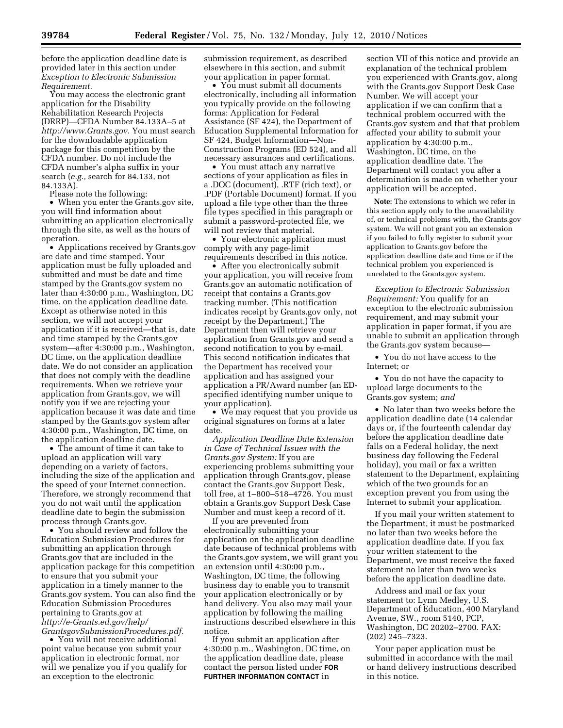before the application deadline date is provided later in this section under *Exception to Electronic Submission Requirement.* 

You may access the electronic grant application for the Disability Rehabilitation Research Projects (DRRP)—CFDA Number 84.133A–5 at *http://www.Grants.gov.* You must search for the downloadable application package for this competition by the CFDA number. Do not include the CFDA number's alpha suffix in your search (*e.g.,* search for 84.133, not 84.133A).

Please note the following:

• When you enter the Grants.gov site, you will find information about submitting an application electronically through the site, as well as the hours of operation.

• Applications received by Grants.gov are date and time stamped. Your application must be fully uploaded and submitted and must be date and time stamped by the Grants.gov system no later than 4:30:00 p.m., Washington, DC time, on the application deadline date. Except as otherwise noted in this section, we will not accept your application if it is received—that is, date and time stamped by the Grants.gov system—after 4:30:00 p.m., Washington, DC time, on the application deadline date. We do not consider an application that does not comply with the deadline requirements. When we retrieve your application from Grants.gov, we will notify you if we are rejecting your application because it was date and time stamped by the Grants.gov system after 4:30:00 p.m., Washington, DC time, on the application deadline date.

• The amount of time it can take to upload an application will vary depending on a variety of factors, including the size of the application and the speed of your Internet connection. Therefore, we strongly recommend that you do not wait until the application deadline date to begin the submission process through Grants.gov.

• You should review and follow the Education Submission Procedures for submitting an application through Grants.gov that are included in the application package for this competition to ensure that you submit your application in a timely manner to the Grants.gov system. You can also find the Education Submission Procedures pertaining to Grants.gov at *http://e-Grants.ed.gov/help/ GrantsgovSubmissionProcedures.pdf.* 

• You will not receive additional point value because you submit your application in electronic format, nor will we penalize you if you qualify for an exception to the electronic

submission requirement, as described elsewhere in this section, and submit your application in paper format.

• You must submit all documents electronically, including all information you typically provide on the following forms: Application for Federal Assistance (SF 424), the Department of Education Supplemental Information for SF 424, Budget Information—Non-Construction Programs (ED 524), and all necessary assurances and certifications.

• You must attach any narrative sections of your application as files in a .DOC (document), .RTF (rich text), or .PDF (Portable Document) format. If you upload a file type other than the three file types specified in this paragraph or submit a password-protected file, we will not review that material.

• Your electronic application must comply with any page-limit requirements described in this notice.

• After you electronically submit your application, you will receive from Grants.gov an automatic notification of receipt that contains a Grants.gov tracking number. (This notification indicates receipt by Grants.gov only, not receipt by the Department.) The Department then will retrieve your application from Grants.gov and send a second notification to you by e-mail. This second notification indicates that the Department has received your application and has assigned your application a PR/Award number (an EDspecified identifying number unique to your application).

• We may request that you provide us original signatures on forms at a later date.

*Application Deadline Date Extension in Case of Technical Issues with the Grants.gov System:* If you are experiencing problems submitting your application through Grants.gov, please contact the Grants.gov Support Desk, toll free, at 1–800–518–4726. You must obtain a Grants.gov Support Desk Case Number and must keep a record of it.

If you are prevented from electronically submitting your application on the application deadline date because of technical problems with the Grants.gov system, we will grant you an extension until 4:30:00 p.m., Washington, DC time, the following business day to enable you to transmit your application electronically or by hand delivery. You also may mail your application by following the mailing instructions described elsewhere in this notice.

If you submit an application after 4:30:00 p.m., Washington, DC time, on the application deadline date, please contact the person listed under **FOR FURTHER INFORMATION CONTACT** in

section VII of this notice and provide an explanation of the technical problem you experienced with Grants.gov, along with the Grants.gov Support Desk Case Number. We will accept your application if we can confirm that a technical problem occurred with the Grants.gov system and that that problem affected your ability to submit your application by 4:30:00 p.m., Washington, DC time, on the application deadline date. The Department will contact you after a determination is made on whether your application will be accepted.

**Note:** The extensions to which we refer in this section apply only to the unavailability of, or technical problems with, the Grants.gov system. We will not grant you an extension if you failed to fully register to submit your application to Grants.gov before the application deadline date and time or if the technical problem you experienced is unrelated to the Grants.gov system.

*Exception to Electronic Submission Requirement:* You qualify for an exception to the electronic submission requirement, and may submit your application in paper format, if you are unable to submit an application through the Grants.gov system because—

• You do not have access to the Internet; or

• You do not have the capacity to upload large documents to the Grants.gov system; *and* 

• No later than two weeks before the application deadline date (14 calendar days or, if the fourteenth calendar day before the application deadline date falls on a Federal holiday, the next business day following the Federal holiday), you mail or fax a written statement to the Department, explaining which of the two grounds for an exception prevent you from using the Internet to submit your application.

If you mail your written statement to the Department, it must be postmarked no later than two weeks before the application deadline date. If you fax your written statement to the Department, we must receive the faxed statement no later than two weeks before the application deadline date.

Address and mail or fax your statement to: Lynn Medley, U.S. Department of Education, 400 Maryland Avenue, SW., room 5140, PCP, Washington, DC 20202–2700. FAX: (202) 245–7323.

Your paper application must be submitted in accordance with the mail or hand delivery instructions described in this notice.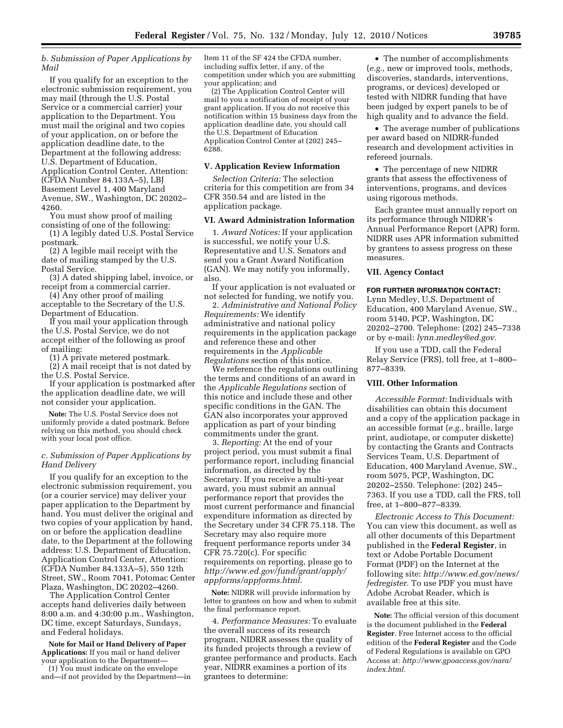*b. Submission of Paper Applications by Mail* 

If you qualify for an exception to the electronic submission requirement, you may mail (through the U.S. Postal Service or a commercial carrier) your application to the Department. You must mail the original and two copies of your application, on or before the application deadline date, to the Department at the following address: U.S. Department of Education, Application Control Center, Attention: (CFDA Number 84.133A–5), LBJ Basement Level 1, 400 Maryland Avenue, SW., Washington, DC 20202– 4260.

You must show proof of mailing consisting of one of the following:

(1) A legibly dated U.S. Postal Service postmark.

(2) A legible mail receipt with the date of mailing stamped by the U.S. Postal Service.

(3) A dated shipping label, invoice, or receipt from a commercial carrier.

(4) Any other proof of mailing acceptable to the Secretary of the U.S. Department of Education.

If you mail your application through the U.S. Postal Service, we do not accept either of the following as proof of mailing:

(1) A private metered postmark.

(2) A mail receipt that is not dated by the U.S. Postal Service.

If your application is postmarked after the application deadline date, we will not consider your application.

**Note:** The U.S. Postal Service does not uniformly provide a dated postmark. Before relying on this method, you should check with your local post office.

# *c. Submission of Paper Applications by Hand Delivery*

If you qualify for an exception to the electronic submission requirement, you (or a courier service) may deliver your paper application to the Department by hand. You must deliver the original and two copies of your application by hand, on or before the application deadline date, to the Department at the following address: U.S. Department of Education, Application Control Center, Attention: (CFDA Number 84.133A–5), 550 12th Street, SW., Room 7041, Potomac Center Plaza, Washington, DC 20202–4260.

The Application Control Center accepts hand deliveries daily between 8:00 a.m. and 4:30:00 p.m., Washington, DC time, except Saturdays, Sundays, and Federal holidays.

**Note for Mail or Hand Delivery of Paper Applications:** If you mail or hand deliver your application to the Department—

(1) You must indicate on the envelope and—if not provided by the Department—in

Item 11 of the SF 424 the CFDA number, including suffix letter, if any, of the competition under which you are submitting your application; and

(2) The Application Control Center will mail to you a notification of receipt of your grant application. If you do not receive this notification within 15 business days from the application deadline date, you should call the U.S. Department of Education Application Control Center at (202) 245– 6288.

## **V. Application Review Information**

*Selection Criteria:* The selection criteria for this competition are from 34 CFR 350.54 and are listed in the application package.

## **VI. Award Administration Information**

1. *Award Notices:* If your application is successful, we notify your U.S. Representative and U.S. Senators and send you a Grant Award Notification (GAN). We may notify you informally, also.

If your application is not evaluated or not selected for funding, we notify you.

2. *Administrative and National Policy Requirements:* We identify administrative and national policy requirements in the application package and reference these and other requirements in the *Applicable Regulations* section of this notice.

We reference the regulations outlining the terms and conditions of an award in the *Applicable Regulations* section of this notice and include these and other specific conditions in the GAN. The GAN also incorporates your approved application as part of your binding commitments under the grant.

3. *Reporting:* At the end of your project period, you must submit a final performance report, including financial information, as directed by the Secretary. If you receive a multi-year award, you must submit an annual performance report that provides the most current performance and financial expenditure information as directed by the Secretary under 34 CFR 75.118. The Secretary may also require more frequent performance reports under 34 CFR 75.720(c). For specific requirements on reporting, please go to *http://www.ed.gov/fund/grant/apply/ appforms/appforms.html.* 

**Note:** NIDRR will provide information by letter to grantees on how and when to submit the final performance report.

4. *Performance Measures:* To evaluate the overall success of its research program, NIDRR assesses the quality of its funded projects through a review of grantee performance and products. Each year, NIDRR examines a portion of its grantees to determine:

• The number of accomplishments (*e.g.,* new or improved tools, methods, discoveries, standards, interventions, programs, or devices) developed or tested with NIDRR funding that have been judged by expert panels to be of high quality and to advance the field.

• The average number of publications per award based on NIDRR-funded research and development activities in refereed journals.

• The percentage of new NIDRR grants that assess the effectiveness of interventions, programs, and devices using rigorous methods.

Each grantee must annually report on its performance through NIDRR's Annual Performance Report (APR) form. NIDRR uses APR information submitted by grantees to assess progress on these measures.

## **VII. Agency Contact**

#### **FOR FURTHER INFORMATION CONTACT:**

Lynn Medley, U.S. Department of Education, 400 Maryland Avenue, SW., room 5140, PCP, Washington, DC 20202–2700. Telephone: (202) 245–7338 or by e-mail: *lynn.medley@ed.gov.* 

If you use a TDD, call the Federal Relay Service (FRS), toll free, at 1–800– 877–8339.

# **VIII. Other Information**

*Accessible Format:* Individuals with disabilities can obtain this document and a copy of the application package in an accessible format (*e.g.,* braille, large print, audiotape, or computer diskette) by contacting the Grants and Contracts Services Team, U.S. Department of Education, 400 Maryland Avenue, SW., room 5075, PCP, Washington, DC 20202–2550. Telephone: (202) 245– 7363. If you use a TDD, call the FRS, toll free, at 1–800–877–8339.

*Electronic Access to This Document:*  You can view this document, as well as all other documents of this Department published in the **Federal Register**, in text or Adobe Portable Document Format (PDF) on the Internet at the following site: *http://www.ed.gov/news/ fedregister.* To use PDF you must have Adobe Acrobat Reader, which is available free at this site.

**Note:** The official version of this document is the document published in the **Federal Register**. Free Internet access to the official edition of the **Federal Register** and the Code of Federal Regulations is available on GPO Access at: *http://www.gpoaccess.gov/nara/ index.html.*